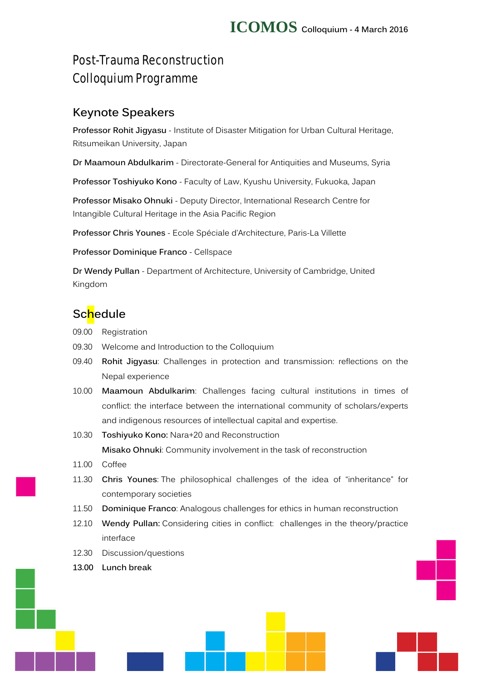# Post-Trauma Reconstruction Colloquium Programme

## **Keynote Speakers**

**Professor Rohit Jigyasu** - Institute of Disaster Mitigation for Urban Cultural Heritage, Ritsumeikan University, Japan

**Dr Maamoun Abdulkarim** - Directorate-General for Antiquities and Museums, Syria

**Professor Toshiyuko Kono** - Faculty of Law, Kyushu University, Fukuoka, Japan

**Professor Misako Ohnuki** - Deputy Director, International Research Centre for Intangible Cultural Heritage in the Asia Pacific Region

**Professor Chris Younes** - Ecole Spéciale d'Architecture, Paris-La Villette

**Professor Dominique Franco** - Cellspace

**Dr Wendy Pullan** - Department of Architecture, University of Cambridge, United Kingdom

## **Schedule**

- 09.00 Registration
- 09.30 Welcome and Introduction to the Colloquium
- 09.40 **Rohit Jigyasu**: Challenges in protection and transmission: reflections on the Nepal experience
- 10.00 **Maamoun Abdulkarim**: Challenges facing cultural institutions in times of conflict: the interface between the international community of scholars/experts and indigenous resources of intellectual capital and expertise.
- 10.30 **Toshiyuko Kono:** Nara+20 and Reconstruction **Misako Ohnuki**: Community involvement in the task of reconstruction
- 11.00 Coffee
- 11.30 **Chris Younes**: The philosophical challenges of the idea of "inheritance" for contemporary societies
- 11.50 **Dominique Franco**: Analogous challenges for ethics in human reconstruction
- 12.10 **Wendy Pullan:** Considering cities in conflict: challenges in the theory/practice interface
- 12.30 Discussion/questions
- **13.00 Lunch break**